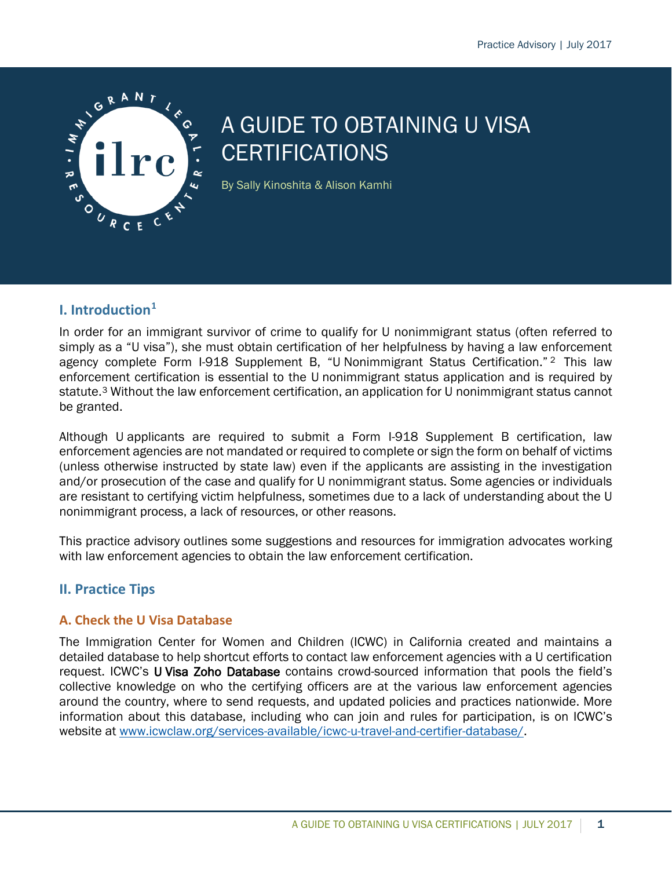

# A GUIDE TO OBTAINING U VISA **CERTIFICATIONS**

By Sally Kinoshita & Alison Kamhi

## **I. Introduction[1](#page-6-0)**

In order for an immigrant survivor of crime to qualify for U nonimmigrant status (often referred to simply as a "U visa"), she must obtain certification of her helpfulness by having a law enforcement agency complete Form I-918 Supplement B, "U Nonimmigrant Status Certification." [2](#page-6-1) This law enforcement certification is essential to the U nonimmigrant status application and is required by statute.<sup>[3](#page-6-2)</sup> Without the law enforcement certification, an application for U nonimmigrant status cannot be granted.

Although U applicants are required to submit a Form I-918 Supplement B certification, law enforcement agencies are not mandated or required to complete or sign the form on behalf of victims (unless otherwise instructed by state law) even if the applicants are assisting in the investigation and/or prosecution of the case and qualify for U nonimmigrant status. Some agencies or individuals are resistant to certifying victim helpfulness, sometimes due to a lack of understanding about the U nonimmigrant process, a lack of resources, or other reasons.

This practice advisory outlines some suggestions and resources for immigration advocates working with law enforcement agencies to obtain the law enforcement certification.

## **II. Practice Tips**

## **A. Check the U Visa Database**

The Immigration Center for Women and Children (ICWC) in California created and maintains a detailed database to help shortcut efforts to contact law enforcement agencies with a U certification request. ICWC's U Visa Zoho Database contains crowd-sourced information that pools the field's collective knowledge on who the certifying officers are at the various law enforcement agencies around the country, where to send requests, and updated policies and practices nationwide. More information about this database, including who can join and rules for participation, is on ICWC's website at [www.icwclaw.org/services-available/icwc-u-travel-and-certifier-database/.](http://www.icwclaw.org/services-available/icwc-u-travel-and-certifier-database/)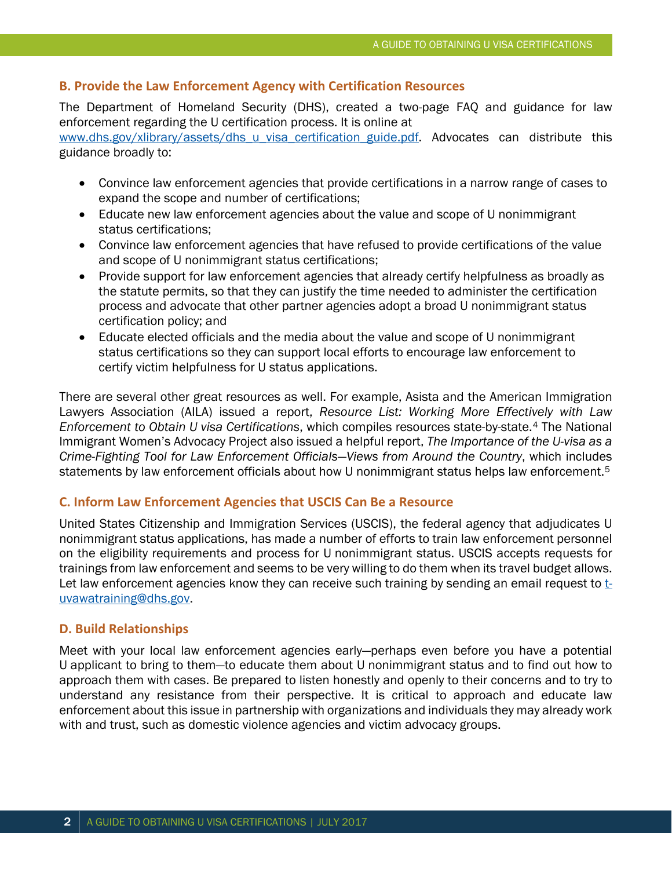#### **B. Provide the Law Enforcement Agency with Certification Resources**

The Department of Homeland Security (DHS), created a two-page FAQ and guidance for law enforcement regarding the U certification process. It is online at [www.dhs.gov/xlibrary/assets/dhs\\_u\\_visa\\_certification\\_guide.pdf.](http://www.dhs.gov/xlibrary/assets/dhs_u_visa_certification_guide.pdf) Advocates can distribute this

guidance broadly to:

- Convince law enforcement agencies that provide certifications in a narrow range of cases to expand the scope and number of certifications;
- Educate new law enforcement agencies about the value and scope of U nonimmigrant status certifications;
- Convince law enforcement agencies that have refused to provide certifications of the value and scope of U nonimmigrant status certifications;
- Provide support for law enforcement agencies that already certify helpfulness as broadly as the statute permits, so that they can justify the time needed to administer the certification process and advocate that other partner agencies adopt a broad U nonimmigrant status certification policy; and
- Educate elected officials and the media about the value and scope of U nonimmigrant status certifications so they can support local efforts to encourage law enforcement to certify victim helpfulness for U status applications.

There are several other great resources as well. For example, Asista and the American Immigration Lawyers Association (AILA) issued a report, *Resource List: Working More Effectively with Law Enforcement to Obtain U visa Certifications*, which compiles resources state-by-state.[4](#page-6-3) The National Immigrant Women's Advocacy Project also issued a helpful report, *The Importance of the U-visa as a Crime-Fighting Tool for Law Enforcement Officials—Views from Around the Country*, which includes statements by law enforcement officials about how U nonimmigrant status helps law enforcement.<sup>[5](#page-6-4)</sup>

#### **C. Inform Law Enforcement Agencies that USCIS Can Be a Resource**

United States Citizenship and Immigration Services (USCIS), the federal agency that adjudicates U nonimmigrant status applications, has made a number of efforts to train law enforcement personnel on the eligibility requirements and process for U nonimmigrant status. USCIS accepts requests for trainings from law enforcement and seems to be very willing to do them when its travel budget allows. Let law enforcement agencies know they can receive such training by sending an email request to  $t$ [uvawatraining@dhs.gov.](mailto:t-uvawatraining@dhs.gov)

#### **D. Build Relationships**

Meet with your local law enforcement agencies early—perhaps even before you have a potential U applicant to bring to them—to educate them about U nonimmigrant status and to find out how to approach them with cases. Be prepared to listen honestly and openly to their concerns and to try to understand any resistance from their perspective. It is critical to approach and educate law enforcement about this issue in partnership with organizations and individuals they may already work with and trust, such as domestic violence agencies and victim advocacy groups.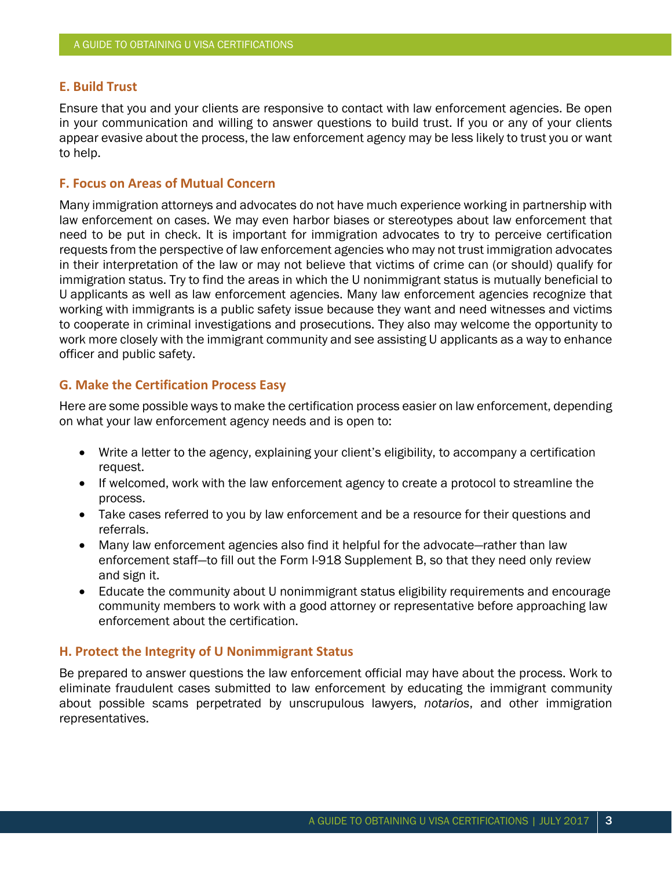#### **E. Build Trust**

Ensure that you and your clients are responsive to contact with law enforcement agencies. Be open in your communication and willing to answer questions to build trust. If you or any of your clients appear evasive about the process, the law enforcement agency may be less likely to trust you or want to help.

#### **F. Focus on Areas of Mutual Concern**

Many immigration attorneys and advocates do not have much experience working in partnership with law enforcement on cases. We may even harbor biases or stereotypes about law enforcement that need to be put in check. It is important for immigration advocates to try to perceive certification requests from the perspective of law enforcement agencies who may not trust immigration advocates in their interpretation of the law or may not believe that victims of crime can (or should) qualify for immigration status. Try to find the areas in which the U nonimmigrant status is mutually beneficial to U applicants as well as law enforcement agencies. Many law enforcement agencies recognize that working with immigrants is a public safety issue because they want and need witnesses and victims to cooperate in criminal investigations and prosecutions. They also may welcome the opportunity to work more closely with the immigrant community and see assisting U applicants as a way to enhance officer and public safety.

#### **G. Make the Certification Process Easy**

Here are some possible ways to make the certification process easier on law enforcement, depending on what your law enforcement agency needs and is open to:

- Write a letter to the agency, explaining your client's eligibility, to accompany a certification request.
- If welcomed, work with the law enforcement agency to create a protocol to streamline the process.
- Take cases referred to you by law enforcement and be a resource for their questions and referrals.
- Many law enforcement agencies also find it helpful for the advocate—rather than law enforcement staff—to fill out the Form I-918 Supplement B, so that they need only review and sign it.
- Educate the community about U nonimmigrant status eligibility requirements and encourage community members to work with a good attorney or representative before approaching law enforcement about the certification.

#### **H. Protect the Integrity of U Nonimmigrant Status**

Be prepared to answer questions the law enforcement official may have about the process. Work to eliminate fraudulent cases submitted to law enforcement by educating the immigrant community about possible scams perpetrated by unscrupulous lawyers, *notarios*, and other immigration representatives.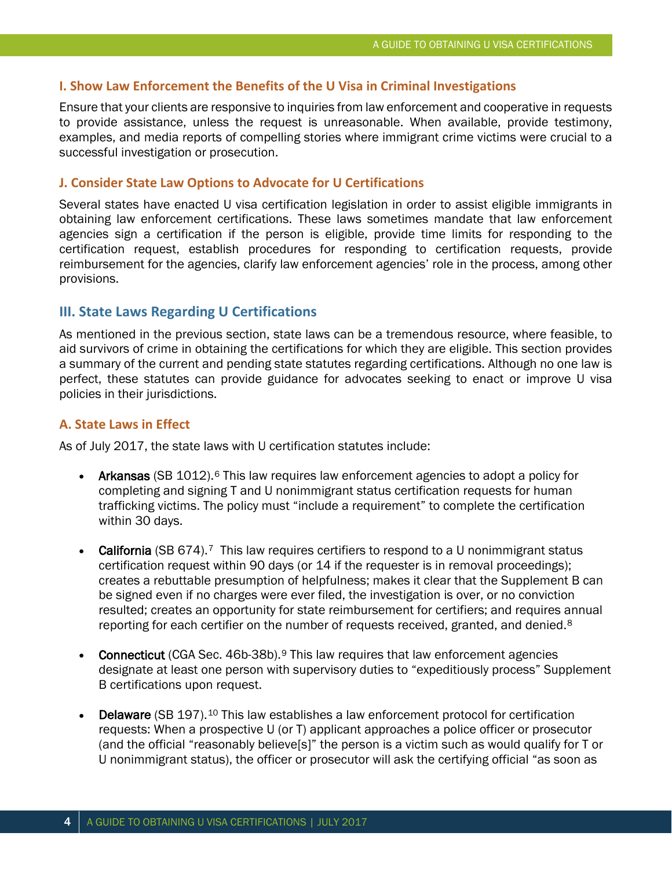#### **I. Show Law Enforcement the Benefits of the U Visa in Criminal Investigations**

Ensure that your clients are responsive to inquiries from law enforcement and cooperative in requests to provide assistance, unless the request is unreasonable. When available, provide testimony, examples, and media reports of compelling stories where immigrant crime victims were crucial to a successful investigation or prosecution.

#### **J. Consider State Law Options to Advocate for U Certifications**

Several states have enacted U visa certification legislation in order to assist eligible immigrants in obtaining law enforcement certifications. These laws sometimes mandate that law enforcement agencies sign a certification if the person is eligible, provide time limits for responding to the certification request, establish procedures for responding to certification requests, provide reimbursement for the agencies, clarify law enforcement agencies' role in the process, among other provisions.

#### **III. State Laws Regarding U Certifications**

As mentioned in the previous section, state laws can be a tremendous resource, where feasible, to aid survivors of crime in obtaining the certifications for which they are eligible. This section provides a summary of the current and pending state statutes regarding certifications. Although no one law is perfect, these statutes can provide guidance for advocates seeking to enact or improve U visa policies in their jurisdictions.

#### **A. State Laws in Effect**

As of July 2017, the state laws with U certification statutes include:

- Arkansas (SB 1012).<sup>[6](#page-6-5)</sup> This law requires law enforcement agencies to adopt a policy for completing and signing T and U nonimmigrant status certification requests for human trafficking victims. The policy must "include a requirement" to complete the certification within 30 days.
- California (SB 6[7](#page-6-6)4).<sup>7</sup> This law requires certifiers to respond to a U nonimmigrant status certification request within 90 days (or 14 if the requester is in removal proceedings); creates a rebuttable presumption of helpfulness; makes it clear that the Supplement B can be signed even if no charges were ever filed, the investigation is over, or no conviction resulted; creates an opportunity for state reimbursement for certifiers; and requires annual reporting for each certifier on the number of requests received, granted, and denied.<sup>[8](#page-6-7)</sup>
- **Connecticut** (CGA Sec. 46b-38b).<sup>[9](#page-6-8)</sup> This law requires that law enforcement agencies designate at least one person with supervisory duties to "expeditiously process" Supplement B certifications upon request.
- **Delaware** (SB 197).<sup>[10](#page-6-9)</sup> This law establishes a law enforcement protocol for certification requests: When a prospective U (or T) applicant approaches a police officer or prosecutor (and the official "reasonably believe[s]" the person is a victim such as would qualify for T or U nonimmigrant status), the officer or prosecutor will ask the certifying official "as soon as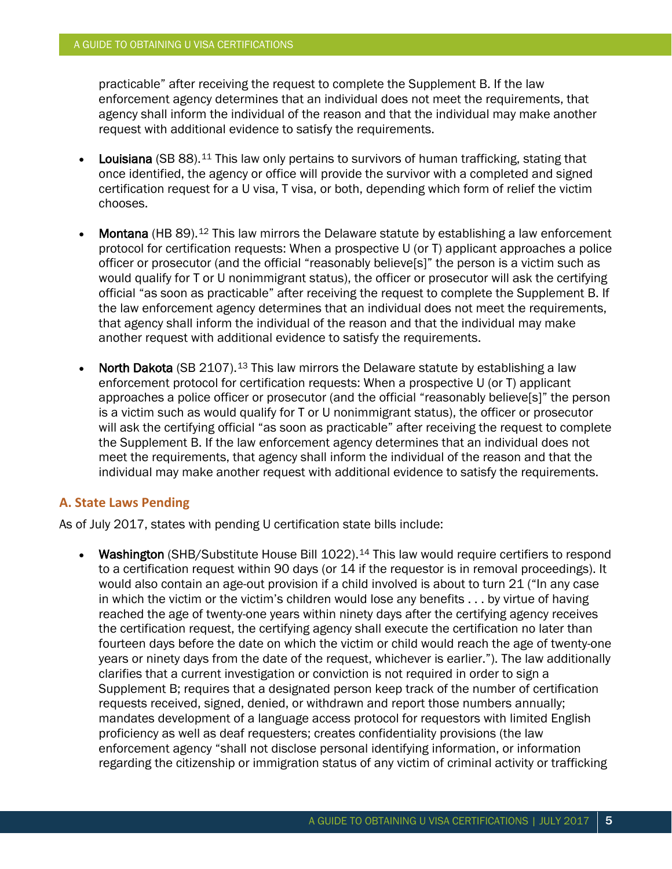practicable" after receiving the request to complete the Supplement B. If the law enforcement agency determines that an individual does not meet the requirements, that agency shall inform the individual of the reason and that the individual may make another request with additional evidence to satisfy the requirements.

- **Louisiana** (SB 88).<sup>[11](#page-7-0)</sup> This law only pertains to survivors of human trafficking, stating that once identified, the agency or office will provide the survivor with a completed and signed certification request for a U visa, T visa, or both, depending which form of relief the victim chooses.
- Montana (HB 89).[12](#page-7-1) This law mirrors the Delaware statute by establishing a law enforcement protocol for certification requests: When a prospective U (or T) applicant approaches a police officer or prosecutor (and the official "reasonably believe[s]" the person is a victim such as would qualify for T or U nonimmigrant status), the officer or prosecutor will ask the certifying official "as soon as practicable" after receiving the request to complete the Supplement B. If the law enforcement agency determines that an individual does not meet the requirements, that agency shall inform the individual of the reason and that the individual may make another request with additional evidence to satisfy the requirements.
- North Dakota (SB 2107).<sup>[13](#page-7-2)</sup> This law mirrors the Delaware statute by establishing a law enforcement protocol for certification requests: When a prospective U (or T) applicant approaches a police officer or prosecutor (and the official "reasonably believe[s]" the person is a victim such as would qualify for T or U nonimmigrant status), the officer or prosecutor will ask the certifying official "as soon as practicable" after receiving the request to complete the Supplement B. If the law enforcement agency determines that an individual does not meet the requirements, that agency shall inform the individual of the reason and that the individual may make another request with additional evidence to satisfy the requirements.

#### **A. State Laws Pending**

As of July 2017, states with pending U certification state bills include:

Washington (SHB/Substitute House Bill 1022).<sup>[14](#page-7-3)</sup> This law would require certifiers to respond to a certification request within 90 days (or 14 if the requestor is in removal proceedings). It would also contain an age-out provision if a child involved is about to turn 21 ("In any case in which the victim or the victim's children would lose any benefits . . . by virtue of having reached the age of twenty-one years within ninety days after the certifying agency receives the certification request, the certifying agency shall execute the certification no later than fourteen days before the date on which the victim or child would reach the age of twenty-one years or ninety days from the date of the request, whichever is earlier."). The law additionally clarifies that a current investigation or conviction is not required in order to sign a Supplement B; requires that a designated person keep track of the number of certification requests received, signed, denied, or withdrawn and report those numbers annually; mandates development of a language access protocol for requestors with limited English proficiency as well as deaf requesters; creates confidentiality provisions (the law enforcement agency "shall not disclose personal identifying information, or information regarding the citizenship or immigration status of any victim of criminal activity or trafficking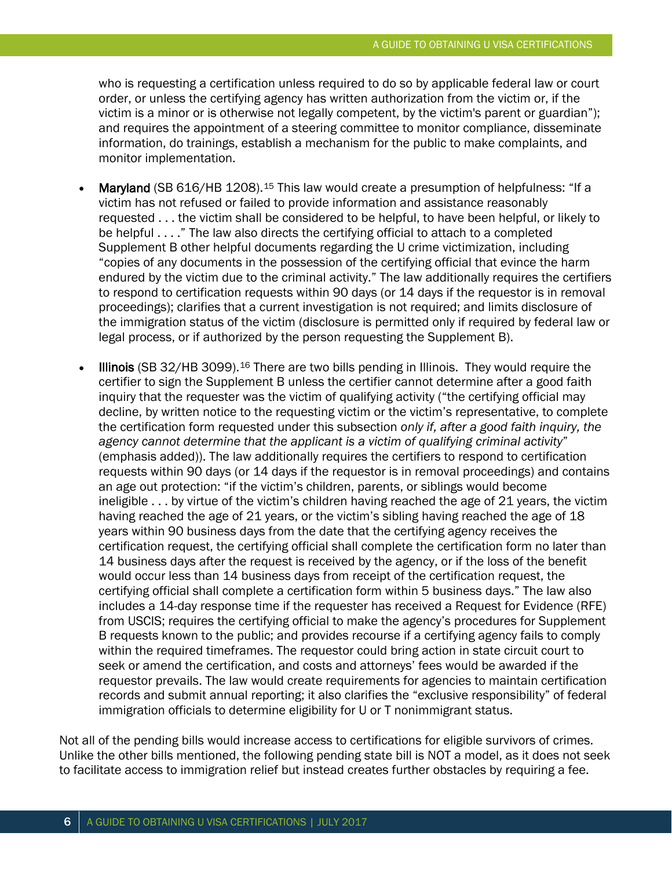who is requesting a certification unless required to do so by applicable federal law or court order, or unless the certifying agency has written authorization from the victim or, if the victim is a minor or is otherwise not legally competent, by the victim's parent or guardian"); and requires the appointment of a steering committee to monitor compliance, disseminate information, do trainings, establish a mechanism for the public to make complaints, and monitor implementation.

- Maryland (SB 616/HB 1208).[15](#page-7-4) This law would create a presumption of helpfulness: "If a victim has not refused or failed to provide information and assistance reasonably requested . . . the victim shall be considered to be helpful, to have been helpful, or likely to be helpful . . . ." The law also directs the certifying official to attach to a completed Supplement B other helpful documents regarding the U crime victimization, including "copies of any documents in the possession of the certifying official that evince the harm endured by the victim due to the criminal activity." The law additionally requires the certifiers to respond to certification requests within 90 days (or 14 days if the requestor is in removal proceedings); clarifies that a current investigation is not required; and limits disclosure of the immigration status of the victim (disclosure is permitted only if required by federal law or legal process, or if authorized by the person requesting the Supplement B).
- Illinois (SB 32/HB 3099).[16](#page-7-5) There are two bills pending in Illinois. They would require the certifier to sign the Supplement B unless the certifier cannot determine after a good faith inquiry that the requester was the victim of qualifying activity ("the certifying official may decline, by written notice to the requesting victim or the victim's representative, to complete the certification form requested under this subsection *only if, after a good faith inquiry, the agency cannot determine that the applicant is a victim of qualifying criminal activity*" (emphasis added)). The law additionally requires the certifiers to respond to certification requests within 90 days (or 14 days if the requestor is in removal proceedings) and contains an age out protection: "if the victim's children, parents, or siblings would become ineligible . . . by virtue of the victim's children having reached the age of 21 years, the victim having reached the age of 21 years, or the victim's sibling having reached the age of 18 years within 90 business days from the date that the certifying agency receives the certification request, the certifying official shall complete the certification form no later than 14 business days after the request is received by the agency, or if the loss of the benefit would occur less than 14 business days from receipt of the certification request, the certifying official shall complete a certification form within 5 business days." The law also includes a 14-day response time if the requester has received a Request for Evidence (RFE) from USCIS; requires the certifying official to make the agency's procedures for Supplement B requests known to the public; and provides recourse if a certifying agency fails to comply within the required timeframes. The requestor could bring action in state circuit court to seek or amend the certification, and costs and attorneys' fees would be awarded if the requestor prevails. The law would create requirements for agencies to maintain certification records and submit annual reporting; it also clarifies the "exclusive responsibility" of federal immigration officials to determine eligibility for U or T nonimmigrant status.

Not all of the pending bills would increase access to certifications for eligible survivors of crimes. Unlike the other bills mentioned, the following pending state bill is NOT a model, as it does not seek to facilitate access to immigration relief but instead creates further obstacles by requiring a fee.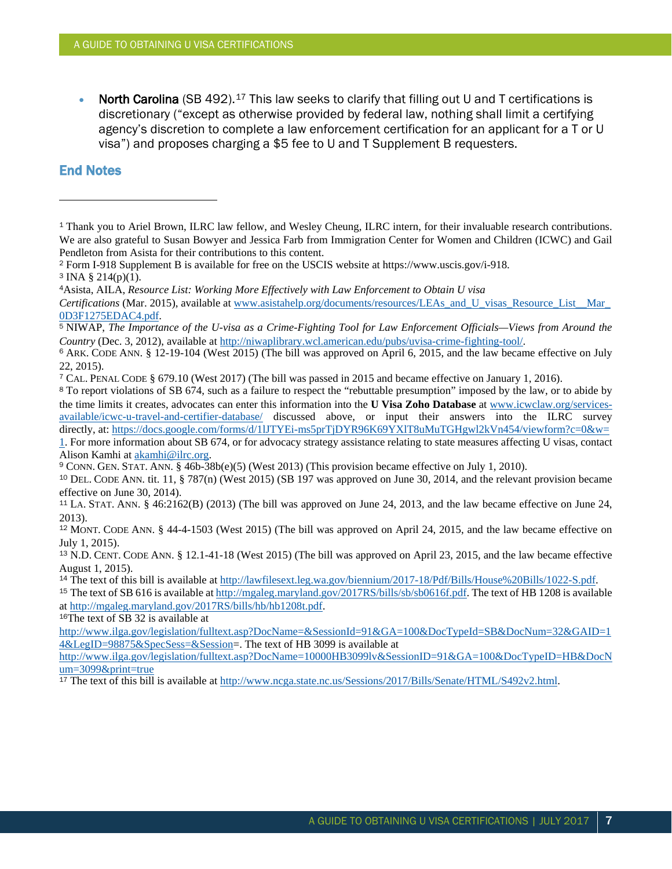**North Carolina** (SB 492).<sup>[17](#page-7-6)</sup> This law seeks to clarify that filling out U and T certifications is discretionary ("except as otherwise provided by federal law, nothing shall limit a certifying agency's discretion to complete a law enforcement certification for an applicant for a T or U visa") and proposes charging a \$5 fee to U and T Supplement B requesters.

### **End Notes**

 $\overline{a}$ 

*Certifications* (Mar. 2015), available at [www.asistahelp.org/documents/resources/LEAs\\_and\\_U\\_visas\\_Resource\\_List\\_\\_Mar\\_](http://www.asistahelp.org/documents/resources/LEAs_and_U_visas_Resource_List__Mar_0D3F1275EDAC4.pdf) [0D3F1275EDAC4.pdf.](http://www.asistahelp.org/documents/resources/LEAs_and_U_visas_Resource_List__Mar_0D3F1275EDAC4.pdf)

<span id="page-6-4"></span><sup>5</sup> NIWAP, *The Importance of the U-visa as a Crime-Fighting Tool for Law Enforcement Officials—Views from Around the Country* (Dec. 3, 2012), available at [http://niwaplibrary.wcl.american.edu/pubs/uvisa-crime-fighting-tool/.](http://niwaplibrary.wcl.american.edu/pubs/uvisa-crime-fighting-tool/)

<span id="page-6-5"></span><sup>6</sup> ARK. CODE ANN. § 12-19-104 (West 2015) (The bill was approved on April 6, 2015, and the law became effective on July 22, 2015).

<span id="page-6-6"></span><sup>7</sup> CAL. PENAL CODE § 679.10 (West 2017) (The bill was passed in 2015 and became effective on January 1, 2016).

<span id="page-6-7"></span><sup>8</sup> To report violations of SB 674, such as a failure to respect the "rebuttable presumption" imposed by the law, or to abide by the time limits it creates, advocates can enter this information into the **U Visa Zoho Database** at [www.icwclaw.org/services](http://www.icwclaw.org/services-available/icwc-u-travel-and-certifier-database/)[available/icwc-u-travel-and-certifier-database/](http://www.icwclaw.org/services-available/icwc-u-travel-and-certifier-database/) discussed above, or input their answers into the ILRC survey directly, at: [https://docs.google.com/forms/d/1lJTYEi-ms5prTjDYR96K69YXlT8uMuTGHgwl2kVn454/viewform?c=0&w=](https://docs.google.com/forms/d/1lJTYEims5prTjDYR96K69YXlT8uMuTGHgwl2kVn454/viewform?c=0&w=1)

[1.](https://docs.google.com/forms/d/1lJTYEims5prTjDYR96K69YXlT8uMuTGHgwl2kVn454/viewform?c=0&w=1) For more information about SB 674, or for advocacy strategy assistance relating to state measures affecting U visas, contact Alison Kamhi a[t akamhi@ilrc.org.](mailto:akamhi@ilrc.org)

<span id="page-6-8"></span><sup>9</sup> CONN. GEN. STAT. ANN. § 46b-38b(e)(5) (West 2013) (This provision became effective on July 1, 2010).

<sup>11</sup> LA. STAT. ANN. § 46:2162(B) (2013) (The bill was approved on June 24, 2013, and the law became effective on June 24, 2013).

<sup>12</sup> MONT. CODE ANN. § 44-4-1503 (West 2015) (The bill was approved on April 24, 2015, and the law became effective on July 1, 2015).

<sup>13</sup> N.D. CENT. CODE ANN. § 12.1-41-18 (West 2015) (The bill was approved on April 23, 2015, and the law became effective August 1, 2015).

<sup>14</sup> The text of this bill is available at [http://lawfilesext.leg.wa.gov/biennium/2017-18/Pdf/Bills/House%20Bills/1022-S.pdf.](http://lawfilesext.leg.wa.gov/biennium/2017-18/Pdf/Bills/House%20Bills/1022-S.pdf)

<sup>15</sup> The text of SB 616 is available at [http://mgaleg.maryland.gov/2017RS/bills/sb/sb0616f.pdf.](http://mgaleg.maryland.gov/2017RS/bills/sb/sb0616f.pdf) The text of HB 1208 is available a[t http://mgaleg.maryland.gov/2017RS/bills/hb/hb1208t.pdf.](http://mgaleg.maryland.gov/2017RS/bills/hb/hb1208t.pdf)

<sup>16</sup>The text of SB 32 is available at

[http://www.ilga.gov/legislation/fulltext.asp?DocName=&SessionId=91&GA=100&DocTypeId=SB&DocNum=32&GAID=1](http://www.ilga.gov/legislation/fulltext.asp?DocName=&SessionId=91&GA=100&DocTypeId=SB&DocNum=32&GAID=14&LegID=98875&SpecSess=&Session) [4&LegID=98875&SpecSess=&Session=](http://www.ilga.gov/legislation/fulltext.asp?DocName=&SessionId=91&GA=100&DocTypeId=SB&DocNum=32&GAID=14&LegID=98875&SpecSess=&Session). The text of HB 3099 is available at

[http://www.ilga.gov/legislation/fulltext.asp?DocName=10000HB3099lv&SessionID=91&GA=100&DocTypeID=HB&DocN](http://www.ilga.gov/legislation/fulltext.asp?DocName=10000HB3099lv&SessionID=91&GA=100&DocTypeID=HB&DocNum=3099&print=true) [um=3099&print=true](http://www.ilga.gov/legislation/fulltext.asp?DocName=10000HB3099lv&SessionID=91&GA=100&DocTypeID=HB&DocNum=3099&print=true)

<sup>17</sup> The text of this bill is available at [http://www.ncga.state.nc.us/Sessions/2017/Bills/Senate/HTML/S492v2.html.](http://www.ncga.state.nc.us/Sessions/2017/Bills/Senate/HTML/S492v2.html)

<span id="page-6-0"></span><sup>1</sup> Thank you to Ariel Brown, ILRC law fellow, and Wesley Cheung, ILRC intern, for their invaluable research contributions. We are also grateful to Susan Bowyer and Jessica Farb from Immigration Center for Women and Children (ICWC) and Gail Pendleton from Asista for their contributions to this content.

<span id="page-6-1"></span><sup>2</sup> Form I-918 Supplement B is available for free on the USCIS website at https://www.uscis.gov/i-918.

<span id="page-6-2"></span> $3$  INA § 214(p)(1).

<span id="page-6-3"></span><sup>4</sup>Asista, AILA, *Resource List: Working More Effectively with Law Enforcement to Obtain U visa* 

<span id="page-6-9"></span><sup>10</sup> DEL. CODE ANN. tit. 11, § 787(n) (West 2015) (SB 197 was approved on June 30, 2014, and the relevant provision became effective on June 30, 2014).